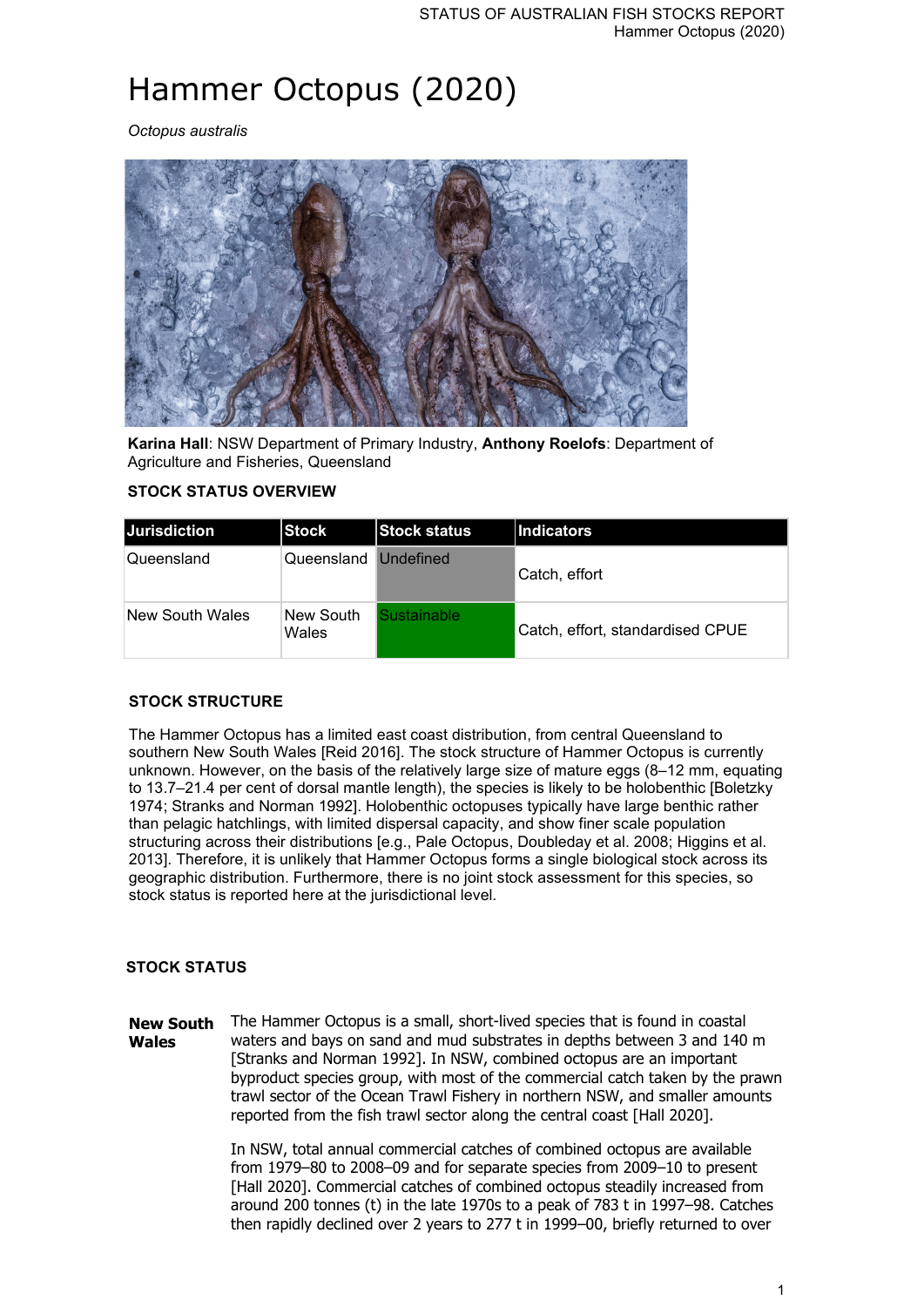# Hammer Octopus (2020)

*Octopus australis*



**Karina Hall**: NSW Department of Primary Industry, **Anthony Roelofs**: Department of Agriculture and Fisheries, Queensland

## **STOCK STATUS OVERVIEW**

| <b>Jurisdiction</b> | Stock                | <b>Stock status</b> | Indicators                       |
|---------------------|----------------------|---------------------|----------------------------------|
| Queensland          | Queensland Undefined |                     | Catch, effort                    |
| New South Wales     | New South<br>Wales   | ustainable          | Catch, effort, standardised CPUE |

### **STOCK STRUCTURE**

The Hammer Octopus has a limited east coast distribution, from central Queensland to southern New South Wales [Reid 2016]. The stock structure of Hammer Octopus is currently unknown. However, on the basis of the relatively large size of mature eggs (8–12 mm, equating to 13.7–21.4 per cent of dorsal mantle length), the species is likely to be holobenthic [Boletzky 1974; Stranks and Norman 1992]. Holobenthic octopuses typically have large benthic rather than pelagic hatchlings, with limited dispersal capacity, and show finer scale population structuring across their distributions [e.g., Pale Octopus, Doubleday et al. 2008; Higgins et al. 2013]. Therefore, it is unlikely that Hammer Octopus forms a single biological stock across its geographic distribution. Furthermore, there is no joint stock assessment for this species, so stock status is reported here at the jurisdictional level.

## **STOCK STATUS**

**New South Wales** The Hammer Octopus is a small, short-lived species that is found in coastal waters and bays on sand and mud substrates in depths between 3 and 140 m [Stranks and Norman 1992]. In NSW, combined octopus are an important byproduct species group, with most of the commercial catch taken by the prawn trawl sector of the Ocean Trawl Fishery in northern NSW, and smaller amounts reported from the fish trawl sector along the central coast [Hall 2020].

> In NSW, total annual commercial catches of combined octopus are available from 1979–80 to 2008–09 and for separate species from 2009–10 to present [Hall 2020]. Commercial catches of combined octopus steadily increased from around 200 tonnes (t) in the late 1970s to a peak of 783 t in 1997–98. Catches then rapidly declined over 2 years to 277 t in 1999–00, briefly returned to over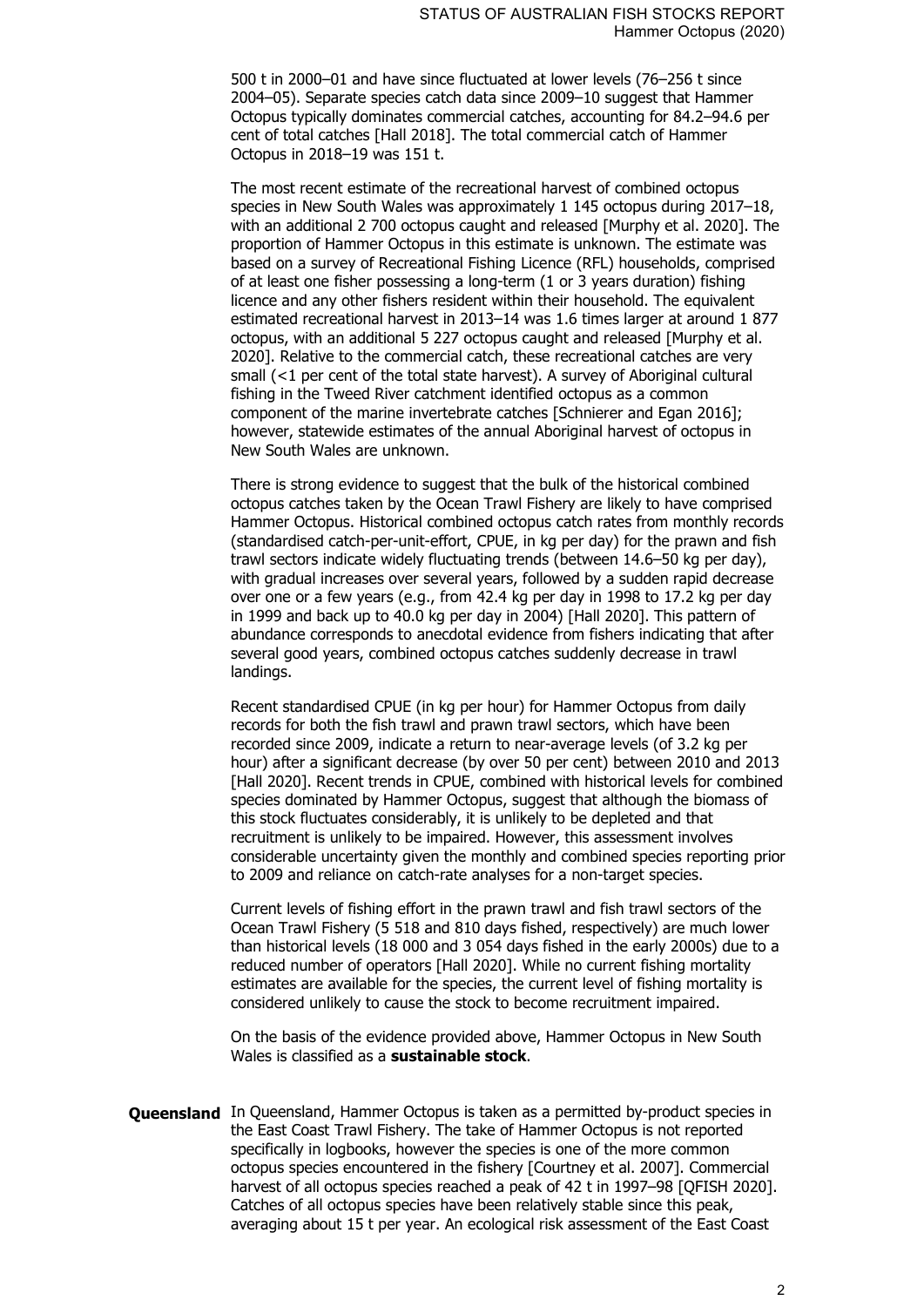500 t in 2000–01 and have since fluctuated at lower levels (76–256 t since 2004–05). Separate species catch data since 2009–10 suggest that Hammer Octopus typically dominates commercial catches, accounting for 84.2–94.6 per cent of total catches [Hall 2018]. The total commercial catch of Hammer Octopus in 2018–19 was 151 t.

The most recent estimate of the recreational harvest of combined octopus species in New South Wales was approximately 1 145 octopus during 2017–18, with an additional 2 700 octopus caught and released [Murphy et al. 2020]. The proportion of Hammer Octopus in this estimate is unknown. The estimate was based on a survey of Recreational Fishing Licence (RFL) households, comprised of at least one fisher possessing a long-term (1 or 3 years duration) fishing licence and any other fishers resident within their household. The equivalent estimated recreational harvest in 2013–14 was 1.6 times larger at around 1 877 octopus, with an additional 5 227 octopus caught and released [Murphy et al. 2020]. Relative to the commercial catch, these recreational catches are very small (<1 per cent of the total state harvest). A survey of Aboriginal cultural fishing in the Tweed River catchment identified octopus as a common component of the marine invertebrate catches [Schnierer and Egan 2016]; however, statewide estimates of the annual Aboriginal harvest of octopus in New South Wales are unknown.

There is strong evidence to suggest that the bulk of the historical combined octopus catches taken by the Ocean Trawl Fishery are likely to have comprised Hammer Octopus. Historical combined octopus catch rates from monthly records (standardised catch-per-unit-effort, CPUE, in kg per day) for the prawn and fish trawl sectors indicate widely fluctuating trends (between 14.6–50 kg per day), with gradual increases over several years, followed by a sudden rapid decrease over one or a few years (e.g., from 42.4 kg per day in 1998 to 17.2 kg per day in 1999 and back up to 40.0 kg per day in 2004) [Hall 2020]. This pattern of abundance corresponds to anecdotal evidence from fishers indicating that after several good years, combined octopus catches suddenly decrease in trawl landings.

Recent standardised CPUE (in kg per hour) for Hammer Octopus from daily records for both the fish trawl and prawn trawl sectors, which have been recorded since 2009, indicate a return to near-average levels (of 3.2 kg per hour) after a significant decrease (by over 50 per cent) between 2010 and 2013 [Hall 2020]. Recent trends in CPUE, combined with historical levels for combined species dominated by Hammer Octopus, suggest that although the biomass of this stock fluctuates considerably, it is unlikely to be depleted and that recruitment is unlikely to be impaired. However, this assessment involves considerable uncertainty given the monthly and combined species reporting prior to 2009 and reliance on catch-rate analyses for a non-target species.

Current levels of fishing effort in the prawn trawl and fish trawl sectors of the Ocean Trawl Fishery (5 518 and 810 days fished, respectively) are much lower than historical levels (18 000 and 3 054 days fished in the early 2000s) due to a reduced number of operators [Hall 2020]. While no current fishing mortality estimates are available for the species, the current level of fishing mortality is considered unlikely to cause the stock to become recruitment impaired.

On the basis of the evidence provided above, Hammer Octopus in New South Wales is classified as a **sustainable stock**.

**Queensland** In Queensland, Hammer Octopus is taken as a permitted by-product species in the East Coast Trawl Fishery. The take of Hammer Octopus is not reported specifically in logbooks, however the species is one of the more common octopus species encountered in the fishery [Courtney et al. 2007]. Commercial harvest of all octopus species reached a peak of 42 t in 1997–98 [QFISH 2020]. Catches of all octopus species have been relatively stable since this peak, averaging about 15 t per year. An ecological risk assessment of the East Coast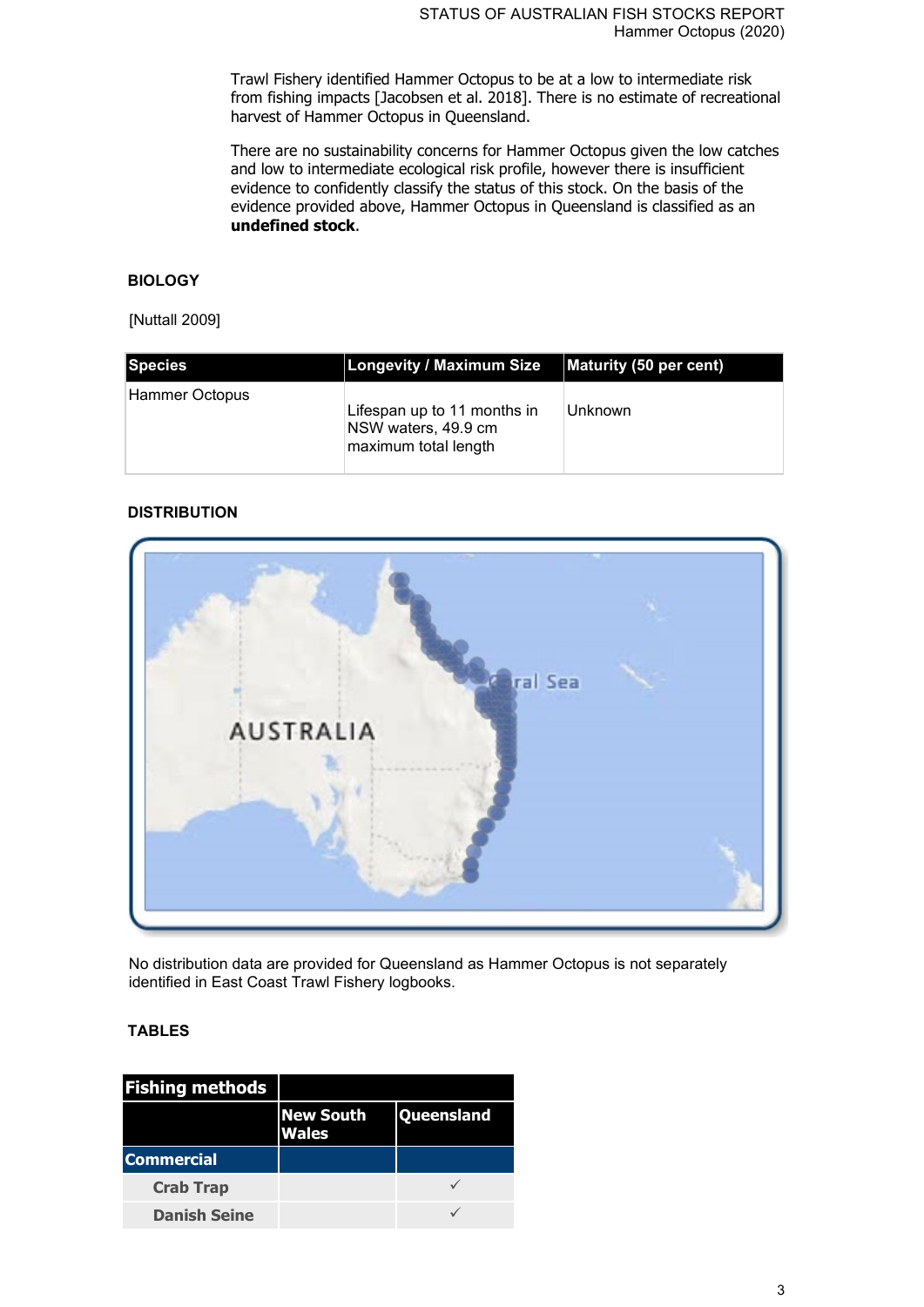Trawl Fishery identified Hammer Octopus to be at a low to intermediate risk from fishing impacts [Jacobsen et al. 2018]. There is no estimate of recreational harvest of Hammer Octopus in Queensland.

There are no sustainability concerns for Hammer Octopus given the low catches and low to intermediate ecological risk profile, however there is insufficient evidence to confidently classify the status of this stock. On the basis of the evidence provided above, Hammer Octopus in Queensland is classified as an **undefined stock**.

# **BIOLOGY**

### [Nuttall 2009]

| <b>Species</b> | <b>Longevity / Maximum Size</b>                                            | Maturity (50 per cent) |
|----------------|----------------------------------------------------------------------------|------------------------|
| Hammer Octopus | Lifespan up to 11 months in<br>NSW waters, 49.9 cm<br>maximum total length | Unknown                |

## **DISTRIBUTION**



No distribution data are provided for Queensland as Hammer Octopus is not separately identified in East Coast Trawl Fishery logbooks.

# **TABLES**

| <b>Fishing methods</b> |                                  |                   |
|------------------------|----------------------------------|-------------------|
|                        | <b>New South</b><br><b>Wales</b> | <b>Queensland</b> |
| <b>Commercial</b>      |                                  |                   |
| <b>Crab Trap</b>       |                                  |                   |
| <b>Danish Seine</b>    |                                  |                   |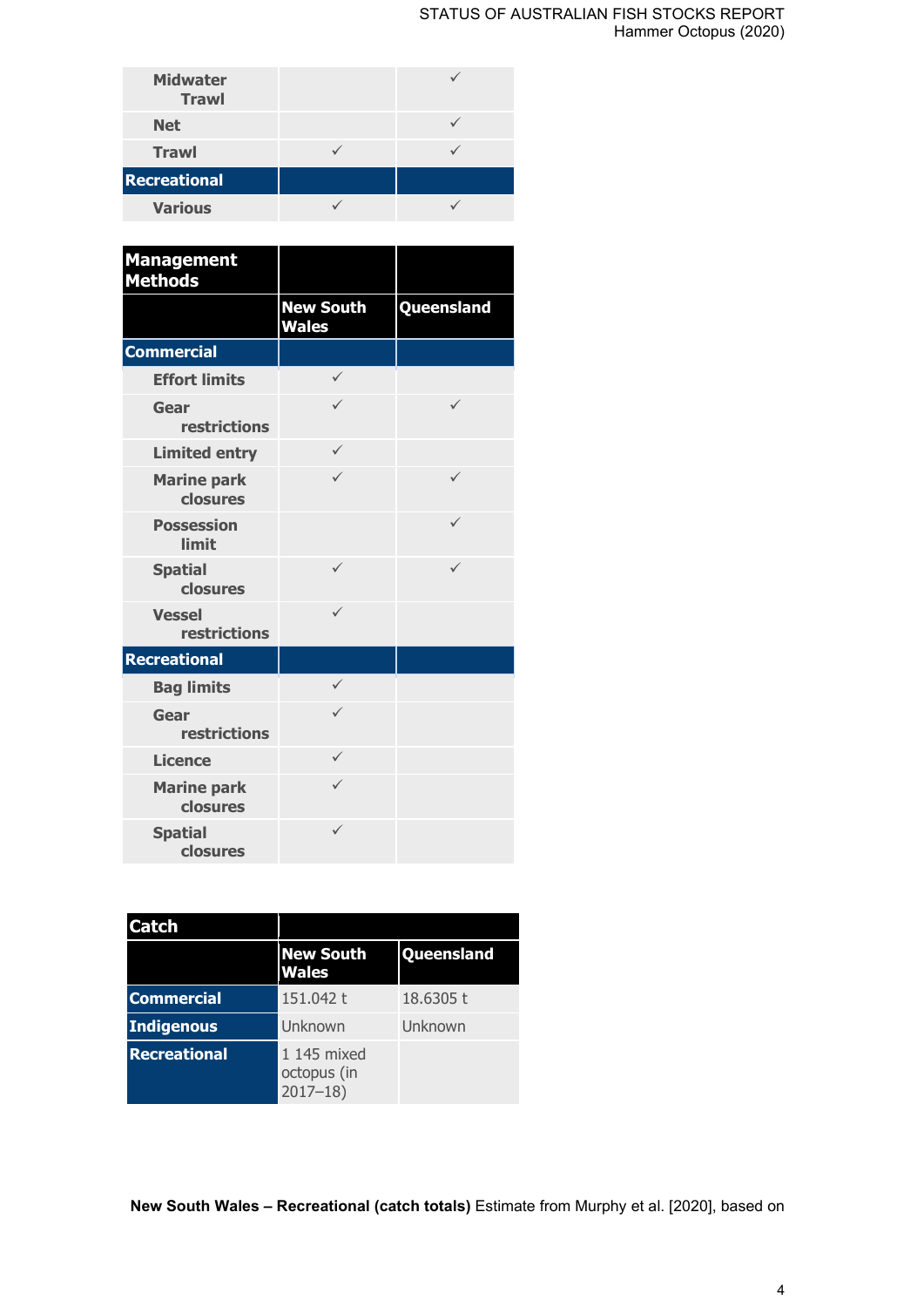#### STATUS OF AUSTRALIAN FISH STOCKS REPORT Hammer Octopus (2020)

| <b>Midwater</b><br><b>Trawl</b> |  |
|---------------------------------|--|
| <b>Net</b>                      |  |
| <b>Trawl</b>                    |  |
| <b>Recreational</b>             |  |
| <b>Various</b>                  |  |

| <b>Management</b><br><b>Methods</b>  |                                  |              |
|--------------------------------------|----------------------------------|--------------|
|                                      | <b>New South</b><br><b>Wales</b> | Queensland   |
| <b>Commercial</b>                    |                                  |              |
| <b>Effort limits</b>                 | $\checkmark$                     |              |
| Gear<br><b>restrictions</b>          | $\checkmark$                     | ✓            |
| <b>Limited entry</b>                 | ✓                                |              |
| <b>Marine park</b><br>closures       | $\checkmark$                     | ✓            |
| <b>Possession</b><br>limit           |                                  | $\checkmark$ |
| <b>Spatial</b><br>closures           | $\checkmark$                     | ✓            |
| <b>Vessel</b><br><b>restrictions</b> | ✓                                |              |
| Recreational                         |                                  |              |
| <b>Bag limits</b>                    | $\checkmark$                     |              |
| Gear<br>restrictions                 | $\checkmark$                     |              |
| <b>Licence</b>                       | ✓                                |              |
| <b>Marine park</b><br>closures       | $\checkmark$                     |              |
| <b>Spatial</b><br>closures           | ✓                                |              |

| <b>Catch</b>        |                                           |            |
|---------------------|-------------------------------------------|------------|
|                     | <b>New South</b><br><b>Wales</b>          | Queensland |
| <b>Commercial</b>   | 151.042 t                                 | 18.6305 t  |
| Indigenous          | Unknown                                   | Unknown    |
| <b>Recreational</b> | 1 145 mixed<br>octopus (in<br>$2017 - 18$ |            |

**New South Wales – Recreational (catch totals)** Estimate from Murphy et al. [2020], based on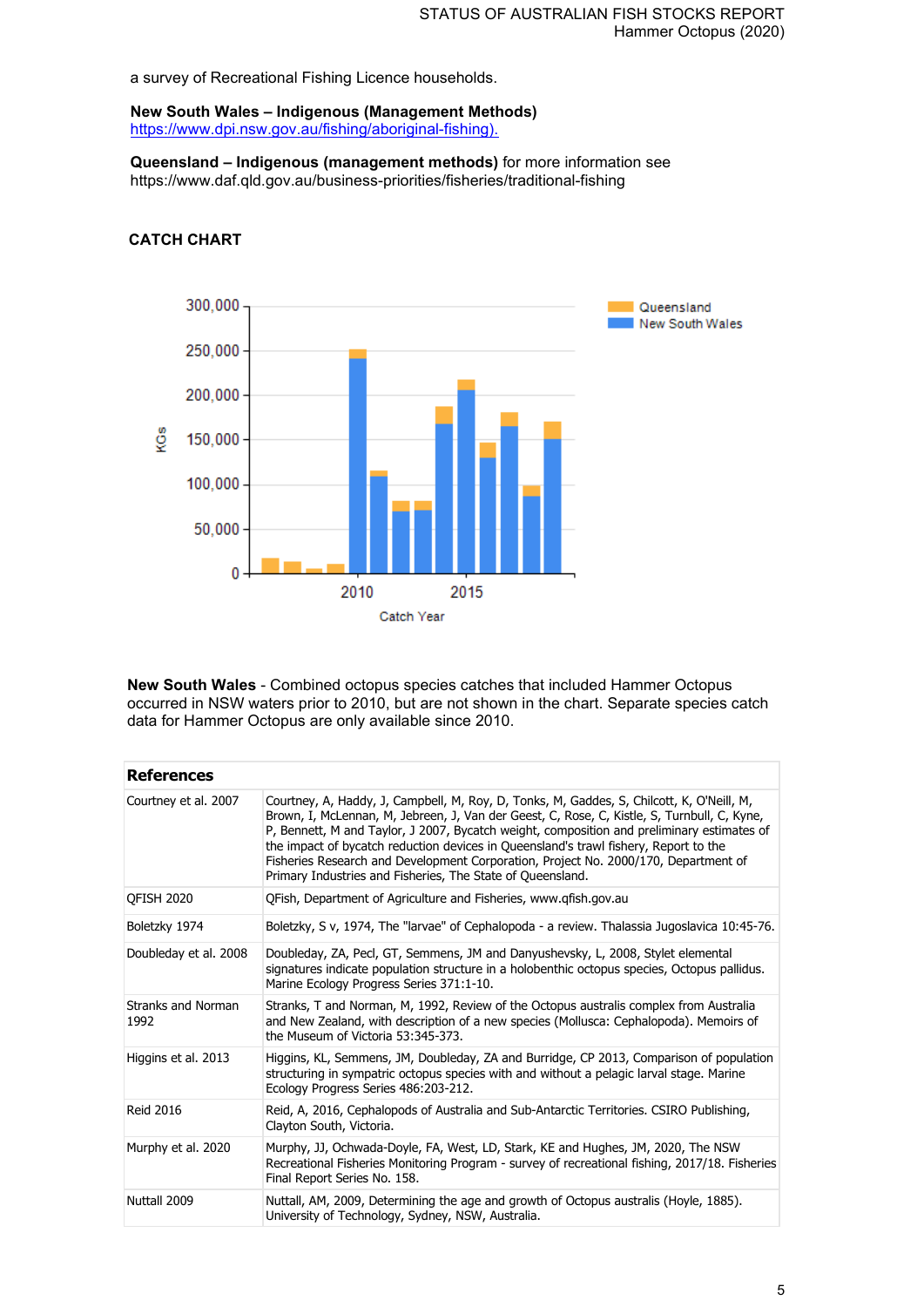a survey of Recreational Fishing Licence households.

**New South Wales – Indigenous (Management Methods)** [https://www.dpi.nsw.gov.au/fishing/aboriginal-fishing\).](https://www.dpi.nsw.gov.au/fishing/aboriginal-fishing)

**Queensland – Indigenous (management methods)** for more information see https://www.daf.qld.gov.au/business-priorities/fisheries/traditional-fishing

## **CATCH CHART**



**New South Wales** - Combined octopus species catches that included Hammer Octopus occurred in NSW waters prior to 2010, but are not shown in the chart. Separate species catch data for Hammer Octopus are only available since 2010.

| <b>References</b>          |                                                                                                                                                                                                                                                                                                                                                                                                                                                                                                                                     |
|----------------------------|-------------------------------------------------------------------------------------------------------------------------------------------------------------------------------------------------------------------------------------------------------------------------------------------------------------------------------------------------------------------------------------------------------------------------------------------------------------------------------------------------------------------------------------|
| Courtney et al. 2007       | Courtney, A, Haddy, J, Campbell, M, Roy, D, Tonks, M, Gaddes, S, Chilcott, K, O'Neill, M,<br>Brown, I, McLennan, M, Jebreen, J, Van der Geest, C, Rose, C, Kistle, S, Turnbull, C, Kyne,<br>P, Bennett, M and Taylor, J 2007, Bycatch weight, composition and preliminary estimates of<br>the impact of bycatch reduction devices in Queensland's trawl fishery, Report to the<br>Fisheries Research and Development Corporation, Project No. 2000/170, Department of<br>Primary Industries and Fisheries, The State of Queensland. |
| <b>OFISH 2020</b>          | OFish, Department of Agriculture and Fisheries, www.gfish.gov.au                                                                                                                                                                                                                                                                                                                                                                                                                                                                    |
| Boletzky 1974              | Boletzky, S v, 1974, The "larvae" of Cephalopoda - a review. Thalassia Jugoslavica 10:45-76.                                                                                                                                                                                                                                                                                                                                                                                                                                        |
| Doubleday et al. 2008      | Doubleday, ZA, Pecl, GT, Semmens, JM and Danyushevsky, L, 2008, Stylet elemental<br>signatures indicate population structure in a holobenthic octopus species, Octopus pallidus.<br>Marine Ecology Progress Series 371:1-10.                                                                                                                                                                                                                                                                                                        |
| Stranks and Norman<br>1992 | Stranks, T and Norman, M, 1992, Review of the Octopus australis complex from Australia<br>and New Zealand, with description of a new species (Mollusca: Cephalopoda). Memoirs of<br>the Museum of Victoria 53:345-373.                                                                                                                                                                                                                                                                                                              |
| Higgins et al. 2013        | Higgins, KL, Semmens, JM, Doubleday, ZA and Burridge, CP 2013, Comparison of population<br>structuring in sympatric octopus species with and without a pelagic larval stage. Marine<br>Ecology Progress Series 486:203-212.                                                                                                                                                                                                                                                                                                         |
| <b>Reid 2016</b>           | Reid, A, 2016, Cephalopods of Australia and Sub-Antarctic Territories. CSIRO Publishing,<br>Clayton South, Victoria.                                                                                                                                                                                                                                                                                                                                                                                                                |
| Murphy et al. 2020         | Murphy, JJ, Ochwada-Doyle, FA, West, LD, Stark, KE and Hughes, JM, 2020, The NSW<br>Recreational Fisheries Monitoring Program - survey of recreational fishing, 2017/18. Fisheries<br>Final Report Series No. 158.                                                                                                                                                                                                                                                                                                                  |
| Nuttall 2009               | Nuttall, AM, 2009, Determining the age and growth of Octopus australis (Hoyle, 1885).<br>University of Technology, Sydney, NSW, Australia.                                                                                                                                                                                                                                                                                                                                                                                          |